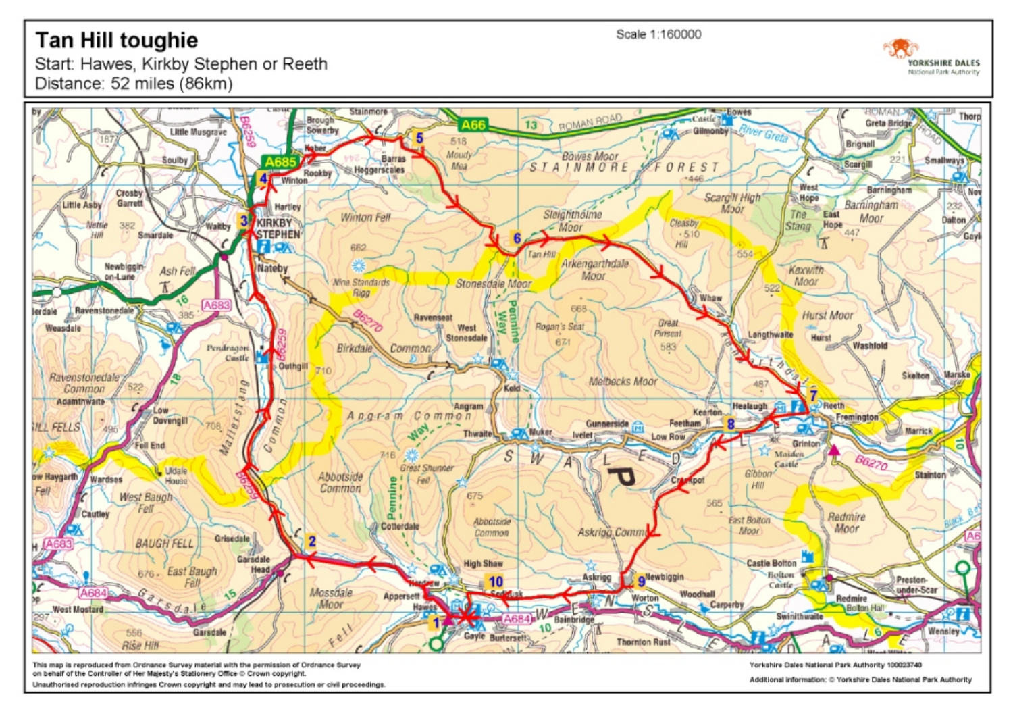## **Tan Hill toughie**



Start: Hawes, Kirkby Stephen or Reeth Distance: 52 miles (86km)